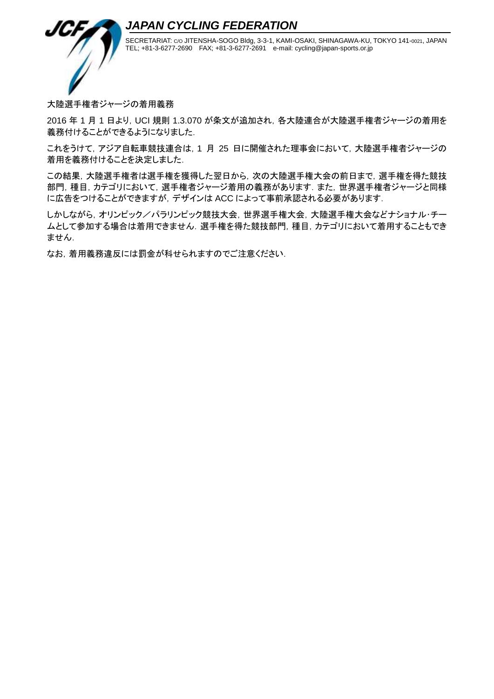## *JAPAN CYCLING FEDERATION*



SECRETARIAT: C/O JITENSHA-SOGO Bldg, 3-3-1, KAMI-OSAKI, SHINAGAWA-KU, TOKYO 141-0021, JAPAN TEL; +81-3-6277-2690 FAX; +81-3-6277-2691 e-mail: cycling@japan-sports.or.jp

## 大陸選手権者ジャージの着用義務

2016 年 1 月 1 日より,UCI 規則 1.3.070 が条文が追加され,各大陸連合が大陸選手権者ジャージの着用を 義務付けることができるようになりました.

これをうけて,アジア自転車競技連合は,1 月 25 日に開催された理事会において,大陸選手権者ジャージの 着用を義務付けることを決定しました.

この結果,大陸選手権者は選手権を獲得した翌日から,次の大陸選手権大会の前日まで,選手権を得た競技 部門,種目,カテゴリにおいて,選手権者ジャージ着用の義務があります.また,世界選手権者ジャージと同様 に広告をつけることができますが,デザインは ACC によって事前承認される必要があります.

しかしながら、オリンピック/パラリンピック競技大会,世界選手権大会,大陸選手権大会などナショナル・チー ムとして参加する場合は着用できません.選手権を得た競技部門,種目,カテゴリにおいて着用することもでき ません.

なお,着用義務違反には罰金が科せられますのでご注意ください.